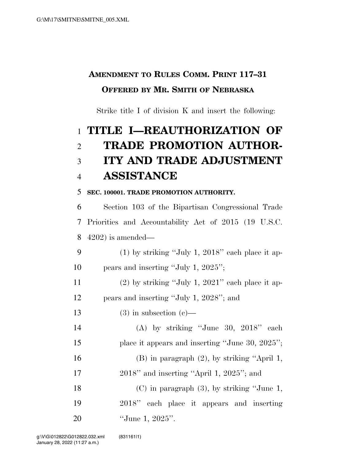## **AMENDMENT TO RULES COMM. PRINT 117–31 OFFERED BY MR. SMITH OF NEBRASKA**

Strike title I of division K and insert the following:

# **TITLE I—REAUTHORIZATION OF TRADE PROMOTION AUTHOR- ITY AND TRADE ADJUSTMENT ASSISTANCE**

### **SEC. 100001. TRADE PROMOTION AUTHORITY.**

 Section 103 of the Bipartisan Congressional Trade Priorities and Accountability Act of 2015 (19 U.S.C. 4202) is amended—

9 (1) by striking "July 1, 2018" each place it ap-pears and inserting ''July 1, 2025'';

11 (2) by striking "July 1, 2021" each place it ap-pears and inserting ''July 1, 2028''; and

13 (3) in subsection  $(c)$ —

 (A) by striking ''June 30, 2018'' each 15 place it appears and inserting "June 30, 2025"; (B) in paragraph (2), by striking ''April 1, 2018'' and inserting ''April 1, 2025''; and (C) in paragraph (3), by striking ''June 1,

 2018'' each place it appears and inserting ''June 1, 2025''.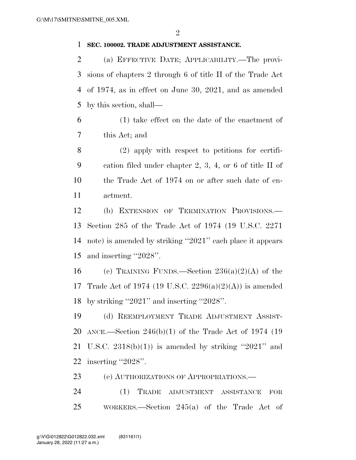#### **SEC. 100002. TRADE ADJUSTMENT ASSISTANCE.**

 (a) EFFECTIVE DATE; APPLICABILITY.—The provi- sions of chapters 2 through 6 of title II of the Trade Act of 1974, as in effect on June 30, 2021, and as amended by this section, shall—

 (1) take effect on the date of the enactment of this Act; and

 (2) apply with respect to petitions for certifi- cation filed under chapter 2, 3, 4, or 6 of title II of the Trade Act of 1974 on or after such date of en-actment.

 (b) EXTENSION OF TERMINATION PROVISIONS.— Section 285 of the Trade Act of 1974 (19 U.S.C. 2271 note) is amended by striking ''2021'' each place it appears and inserting ''2028''.

16 (e) TRAINING FUNDS.—Section  $236(a)(2)(A)$  of the Trade Act of 1974 (19 U.S.C. 2296(a)(2)(A)) is amended by striking ''2021'' and inserting ''2028''.

 (d) REEMPLOYMENT TRADE ADJUSTMENT ASSIST- ANCE.—Section 246(b)(1) of the Trade Act of 1974 (19 21 U.S.C.  $2318(b)(1)$  is amended by striking "2021" and inserting ''2028''.

(e) AUTHORIZATIONS OF APPROPRIATIONS.—

 (1) TRADE ADJUSTMENT ASSISTANCE FOR WORKERS.—Section 245(a) of the Trade Act of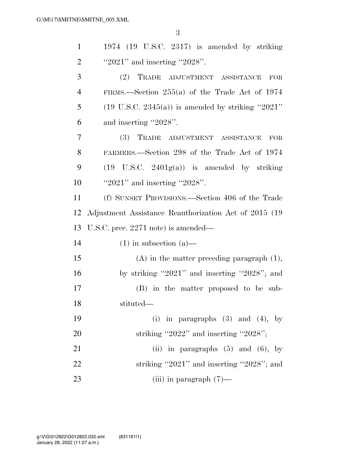3

| $\mathbf{1}$   | $1974$ (19 U.S.C. 2317) is amended by striking               |
|----------------|--------------------------------------------------------------|
| $\overline{2}$ | " $2021$ " and inserting " $2028$ ".                         |
| 3              | TRADE ADJUSTMENT ASSISTANCE<br>(2)<br>FOR                    |
| $\overline{4}$ | FIRMS.—Section $255(a)$ of the Trade Act of 1974             |
| 5              | $(19 \text{ U.S.C. } 2345(a))$ is amended by striking "2021" |
| 6              | and inserting "2028".                                        |
| 7              | (3) TRADE ADJUSTMENT ASSISTANCE<br>FOR                       |
| 8              | FARMERS.—Section 298 of the Trade Act of 1974                |
| 9              | $(19 \text{ U.S.C. } 2401g(a))$ is amended by striking       |
| 10             | " $2021$ " and inserting " $2028$ ".                         |
| 11             | (f) SUNSET PROVISIONS.—Section 406 of the Trade              |
| 12             | Adjustment Assistance Reauthorization Act of 2015 (19        |
| 13             | U.S.C. prec. $2271$ note) is amended—                        |
| 14             | $(1)$ in subsection $(a)$ —                                  |
| 15             | $(A)$ in the matter preceding paragraph $(1)$ ,              |
| 16             | by striking "2021" and inserting "2028"; and                 |
| 17             | (B) in the matter proposed to be sub-                        |
| 18             | stituted—                                                    |
| 19             | (i) in paragraphs $(3)$ and $(4)$ , by                       |
| 20             | striking "2022" and inserting "2028";                        |
| 21             | (ii) in paragraphs $(5)$ and $(6)$ , by                      |
| 22             | striking "2021" and inserting "2028"; and                    |
| 23             | (iii) in paragraph $(7)$ —                                   |